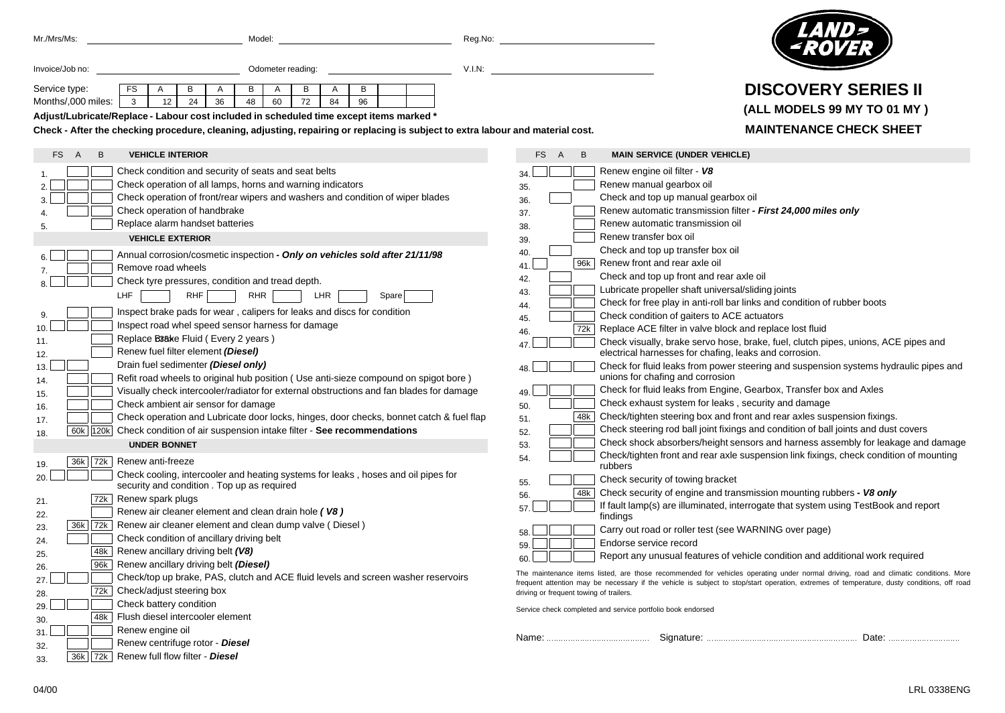| Mr./Mrs/Ms:                                                                                                                                                       | Model:                                                                                                                          | Reg.No: |            |   |   |                                                                                                                                            |
|-------------------------------------------------------------------------------------------------------------------------------------------------------------------|---------------------------------------------------------------------------------------------------------------------------------|---------|------------|---|---|--------------------------------------------------------------------------------------------------------------------------------------------|
| Invoice/Job no:                                                                                                                                                   | Odometer reading:                                                                                                               | V.I.N:  |            |   |   |                                                                                                                                            |
| Service type:                                                                                                                                                     | FS<br>В<br>A<br>В<br>A<br>в<br>A<br>B<br>A                                                                                      |         |            |   |   | <b>DISCOVERY SERIES II</b>                                                                                                                 |
| Months/,000 miles:                                                                                                                                                | 24<br>3<br>12<br>36<br>48<br>60<br>72<br>84<br>96                                                                               |         |            |   |   |                                                                                                                                            |
|                                                                                                                                                                   | Adjust/Lubricate/Replace - Labour cost included in scheduled time except items marked                                           |         |            |   |   | (ALL MODELS 99 MY TO 01 MY)                                                                                                                |
| <b>MAINTENANCE CHECK SHEET</b><br>Check - After the checking procedure, cleaning, adjusting, repairing or replacing is subject to extra labour and material cost. |                                                                                                                                 |         |            |   |   |                                                                                                                                            |
| В<br>FS.<br>A                                                                                                                                                     | <b>VEHICLE INTERIOR</b>                                                                                                         |         | FS.        | A | B | <b>MAIN SERVICE (UNDER VEHICLE)</b>                                                                                                        |
|                                                                                                                                                                   | Check condition and security of seats and seat belts                                                                            |         | 34.        |   |   | Renew engine oil filter - V8                                                                                                               |
|                                                                                                                                                                   | Check operation of all lamps, horns and warning indicators                                                                      |         | 35.        |   |   | Renew manual gearbox oil                                                                                                                   |
|                                                                                                                                                                   | Check operation of front/rear wipers and washers and condition of wiper blades                                                  |         | 36.        |   |   | Check and top up manual gearbox oil                                                                                                        |
|                                                                                                                                                                   | Check operation of handbrake                                                                                                    |         | 37.        |   |   | Renew automatic transmission filter - First 24,000 miles only                                                                              |
|                                                                                                                                                                   | Replace alarm handset batteries                                                                                                 |         | 38.        |   |   | Renew automatic transmission oil                                                                                                           |
|                                                                                                                                                                   | <b>VEHICLE EXTERIOR</b>                                                                                                         |         | 39.        |   |   | Renew transfer box oil                                                                                                                     |
|                                                                                                                                                                   |                                                                                                                                 |         | 40.        |   |   | Check and top up transfer box oil                                                                                                          |
|                                                                                                                                                                   | Annual corrosion/cosmetic inspection - Only on vehicles sold after 21/11/98                                                     |         | 41.        |   |   | 96k Renew front and rear axle oil                                                                                                          |
|                                                                                                                                                                   | Remove road wheels                                                                                                              |         | 42.        |   |   | Check and top up front and rear axle oil                                                                                                   |
|                                                                                                                                                                   | Check tyre pressures, condition and tread depth.                                                                                |         | 43.        |   |   | Lubricate propeller shaft universal/sliding joints                                                                                         |
|                                                                                                                                                                   | LHF<br>RHF<br><b>RHR</b><br>LHR<br>Spare                                                                                        |         | 44.        |   |   | Check for free play in anti-roll bar links and condition of rubber boots                                                                   |
|                                                                                                                                                                   | Inspect brake pads for wear, calipers for leaks and discs for condition                                                         |         | 45.        |   |   | Check condition of gaiters to ACE actuators                                                                                                |
|                                                                                                                                                                   | Inspect road whel speed sensor harness for damage                                                                               |         |            |   |   | 72k Replace ACE filter in valve block and replace lost fluid                                                                               |
| 11.                                                                                                                                                               | Replace B38ke Fluid (Every 2 years)                                                                                             |         | 46.        |   |   | Check visually, brake servo hose, brake, fuel, clutch pipes, unions, ACE pipes and                                                         |
| 12.                                                                                                                                                               | Renew fuel filter element (Diesel)                                                                                              |         | 47.        |   |   | electrical harnesses for chafing, leaks and corrosion.                                                                                     |
| 13.                                                                                                                                                               | Drain fuel sedimenter (Diesel only)                                                                                             |         | 48.        |   |   | Check for fluid leaks from power steering and suspension systems hydraulic pipes and                                                       |
| 14.                                                                                                                                                               | Refit road wheels to original hub position (Use anti-sieze compound on spigot bore)                                             |         |            |   |   | unions for chafing and corrosion                                                                                                           |
| 15.                                                                                                                                                               | Visually check intercooler/radiator for external obstructions and fan blades for damage                                         |         | 49.        |   |   | Check for fluid leaks from Engine, Gearbox, Transfer box and Axles                                                                         |
| 16.                                                                                                                                                               | Check ambient air sensor for damage                                                                                             |         | 50.        |   |   | Check exhaust system for leaks, security and damage                                                                                        |
| 17.                                                                                                                                                               | Check operation and Lubricate door locks, hinges, door checks, bonnet catch & fuel flap                                         |         | 51.        |   |   | 48k   Check/tighten steering box and front and rear axles suspension fixings.                                                              |
| 18.                                                                                                                                                               | 60k 120k Check condition of air suspension intake filter - See recommendations                                                  |         | 52.        |   |   | Check steering rod ball joint fixings and condition of ball joints and dust covers                                                         |
|                                                                                                                                                                   | <b>UNDER BONNET</b>                                                                                                             |         | 53.        |   |   | Check shock absorbers/height sensors and harness assembly for leakage and damage                                                           |
|                                                                                                                                                                   |                                                                                                                                 |         | 54.        |   |   | Check/tighten front and rear axle suspension link fixings, check condition of mounting                                                     |
| 19.                                                                                                                                                               | 36k   72k   Renew anti-freeze                                                                                                   |         |            |   |   | rubbers                                                                                                                                    |
| 20                                                                                                                                                                | Check cooling, intercooler and heating systems for leaks, hoses and oil pipes for<br>security and condition. Top up as required |         | 55.        |   |   | Check security of towing bracket                                                                                                           |
|                                                                                                                                                                   |                                                                                                                                 |         | 56.        |   |   | 48k Check security of engine and transmission mounting rubbers - V8 only                                                                   |
| 21.                                                                                                                                                               | 72k   Renew spark plugs                                                                                                         |         | 57.        |   |   | If fault lamp(s) are illuminated, interrogate that system using TestBook and report                                                        |
| 22.                                                                                                                                                               | Renew air cleaner element and clean drain hole (V8)                                                                             |         |            |   |   | findings                                                                                                                                   |
| 23.                                                                                                                                                               | 36k   72k   Renew air cleaner element and clean dump valve (Diesel)                                                             |         | 58.        |   |   | Carry out road or roller test (see WARNING over page)                                                                                      |
| 24                                                                                                                                                                | Check condition of ancillary driving belt                                                                                       |         | $59. \Box$ |   |   | Endorse service record                                                                                                                     |
| 25.                                                                                                                                                               | 48k   Renew ancillary driving belt (V8)                                                                                         |         | 60.        |   |   | Report any unusual features of vehicle condition and additional work required                                                              |
| 26.                                                                                                                                                               | 96k Renew ancillary driving belt (Diesel)                                                                                       |         |            |   |   | The maintenance items listed, are those recommended for vehicles operating under normal driving, road and climatic conditions. More        |
| 27                                                                                                                                                                | Check/top up brake, PAS, clutch and ACE fluid levels and screen washer reservoirs                                               |         |            |   |   | frequent attention may be necessary if the vehicle is subject to stop/start operation, extremes of temperature, dusty conditions, off road |
| 28.                                                                                                                                                               | 72k   Check/adjust steering box                                                                                                 |         |            |   |   | driving or frequent towing of trailers.                                                                                                    |
| 29.                                                                                                                                                               | Check battery condition                                                                                                         |         |            |   |   | Service check completed and service portfolio book endorsed                                                                                |
| 30.                                                                                                                                                               | 48k   Flush diesel intercooler element                                                                                          |         |            |   |   |                                                                                                                                            |
| 31                                                                                                                                                                | Renew engine oil                                                                                                                |         |            |   |   |                                                                                                                                            |
| 32                                                                                                                                                                | Renew centrifuge rotor - Diesel                                                                                                 |         |            |   |   |                                                                                                                                            |
| 33.                                                                                                                                                               | 36k   72k   Renew full flow filter - Diesel                                                                                     |         |            |   |   |                                                                                                                                            |